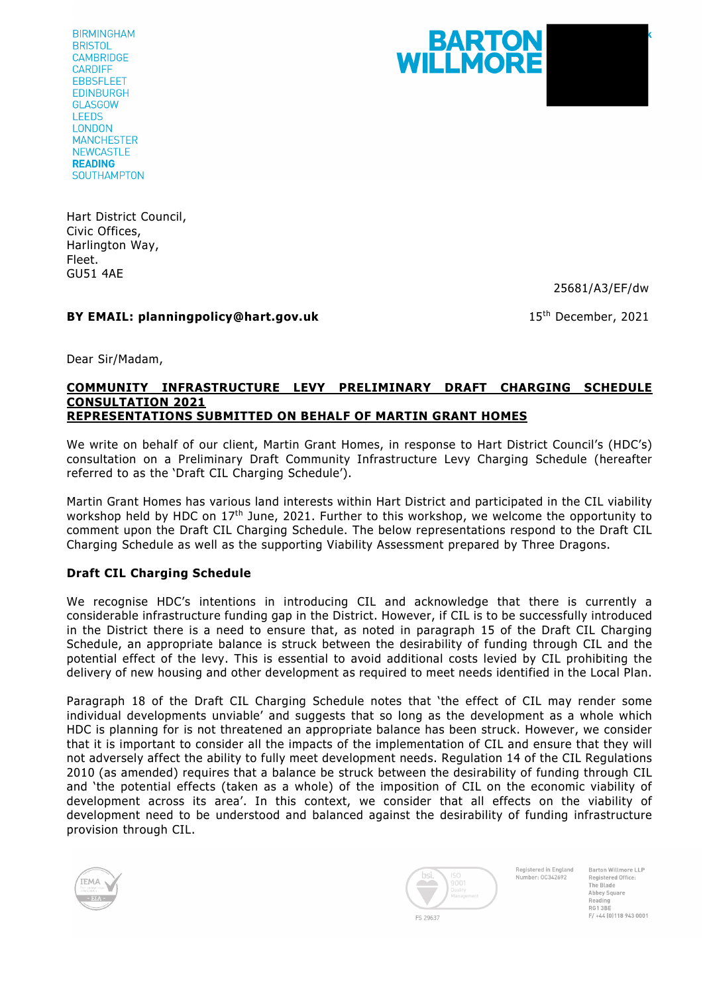**BIRMINGHAM BRISTOL CAMBRIDGE CARDIFF EBBSFLEET EDINBURGH GLASGOW LEEDS LONDON MANCHESTER NEWCASTLE READING SOUTHAMPTON** 

BARTON WILLMORE

Hart District Council, Civic Offices, Harlington Way, Fleet. GU51 4AE

25681/A3/EF/dw

**BY EMAIL: planningpolicy@hart.gov.uk** 15th 2021

Dear Sir/Madam,

## **COMMUNITY INFRASTRUCTURE LEVY PRELIMINARY DRAFT CHARGING SCHEDULE CONSULTATION 2021 REPRESENTATIONS SUBMITTED ON BEHALF OF MARTIN GRANT HOMES**

We write on behalf of our client, Martin Grant Homes, in response to Hart District Council's (HDC's) consultation on a Preliminary Draft Community Infrastructure Levy Charging Schedule (hereafter referred to as the 'Draft CIL Charging Schedule').

Martin Grant Homes has various land interests within Hart District and participated in the CIL viability workshop held by HDC on 17<sup>th</sup> June, 2021. Further to this workshop, we welcome the opportunity to comment upon the Draft CIL Charging Schedule. The below representations respond to the Draft CIL Charging Schedule as well as the supporting Viability Assessment prepared by Three Dragons.

## **Draft CIL Charging Schedule**

We recognise HDC's intentions in introducing CIL and acknowledge that there is currently a considerable infrastructure funding gap in the District. However, if CIL is to be successfully introduced in the District there is a need to ensure that, as noted in paragraph 15 of the Draft CIL Charging Schedule, an appropriate balance is struck between the desirability of funding through CIL and the potential effect of the levy. This is essential to avoid additional costs levied by CIL prohibiting the delivery of new housing and other development as required to meet needs identified in the Local Plan.

Paragraph 18 of the Draft CIL Charging Schedule notes that 'the effect of CIL may render some individual developments unviable' and suggests that so long as the development as a whole which HDC is planning for is not threatened an appropriate balance has been struck. However, we consider that it is important to consider all the impacts of the implementation of CIL and ensure that they will not adversely affect the ability to fully meet development needs. Regulation 14 of the CIL Regulations 2010 (as amended) requires that a balance be struck between the desirability of funding through CIL and 'the potential effects (taken as a whole) of the imposition of CIL on the economic viability of development across its area'. In this context, we consider that all effects on the viability of development need to be understood and balanced against the desirability of funding infrastructure provision through CIL.





Registered in England Number-00342692

Barton Willmore LLP **Penistered Office** registeret<br>The Blade Abbey Square Reading  $00120$  $F/ + 44$  (0) 118 943 0001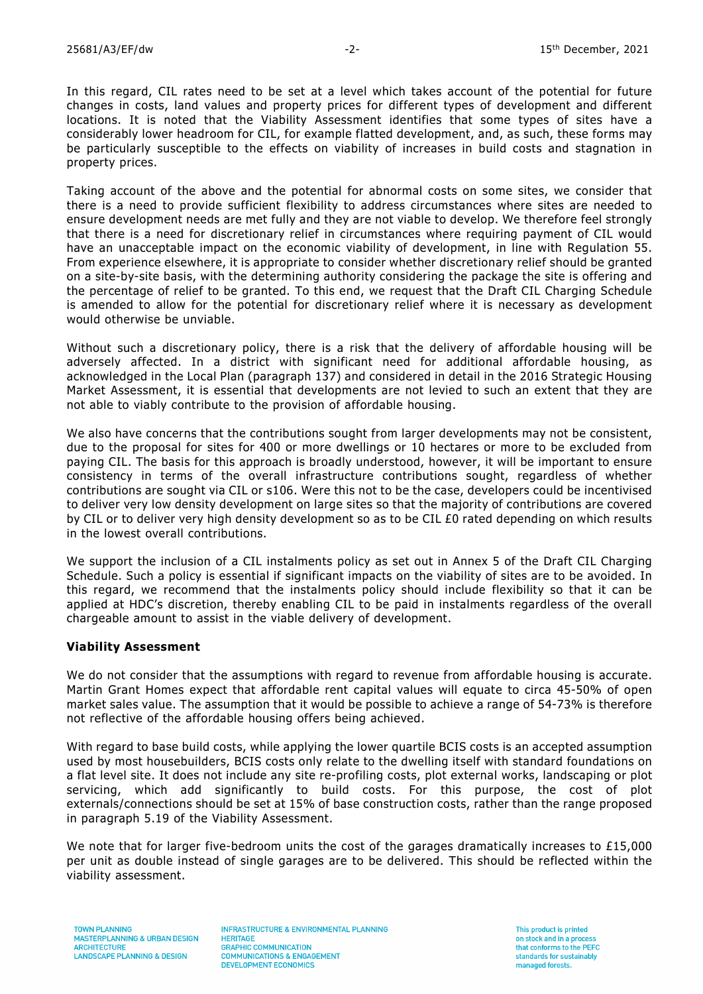In this regard, CIL rates need to be set at a level which takes account of the potential for future changes in costs, land values and property prices for different types of development and different locations. It is noted that the Viability Assessment identifies that some types of sites have a considerably lower headroom for CIL, for example flatted development, and, as such, these forms may be particularly susceptible to the effects on viability of increases in build costs and stagnation in property prices.

Taking account of the above and the potential for abnormal costs on some sites, we consider that there is a need to provide sufficient flexibility to address circumstances where sites are needed to ensure development needs are met fully and they are not viable to develop. We therefore feel strongly that there is a need for discretionary relief in circumstances where requiring payment of CIL would have an unacceptable impact on the economic viability of development, in line with Regulation 55. From experience elsewhere, it is appropriate to consider whether discretionary relief should be granted on a site-by-site basis, with the determining authority considering the package the site is offering and the percentage of relief to be granted. To this end, we request that the Draft CIL Charging Schedule is amended to allow for the potential for discretionary relief where it is necessary as development would otherwise be unviable.

Without such a discretionary policy, there is a risk that the delivery of affordable housing will be adversely affected. In a district with significant need for additional affordable housing, as acknowledged in the Local Plan (paragraph 137) and considered in detail in the 2016 Strategic Housing Market Assessment, it is essential that developments are not levied to such an extent that they are not able to viably contribute to the provision of affordable housing.

We also have concerns that the contributions sought from larger developments may not be consistent, due to the proposal for sites for 400 or more dwellings or 10 hectares or more to be excluded from paying CIL. The basis for this approach is broadly understood, however, it will be important to ensure consistency in terms of the overall infrastructure contributions sought, regardless of whether contributions are sought via CIL or s106. Were this not to be the case, developers could be incentivised to deliver very low density development on large sites so that the majority of contributions are covered by CIL or to deliver very high density development so as to be CIL £0 rated depending on which results in the lowest overall contributions.

We support the inclusion of a CIL instalments policy as set out in Annex 5 of the Draft CIL Charging Schedule. Such a policy is essential if significant impacts on the viability of sites are to be avoided. In this regard, we recommend that the instalments policy should include flexibility so that it can be applied at HDC's discretion, thereby enabling CIL to be paid in instalments regardless of the overall chargeable amount to assist in the viable delivery of development.

## **Viability Assessment**

We do not consider that the assumptions with regard to revenue from affordable housing is accurate. Martin Grant Homes expect that affordable rent capital values will equate to circa 45-50% of open market sales value. The assumption that it would be possible to achieve a range of 54-73% is therefore not reflective of the affordable housing offers being achieved.

With regard to base build costs, while applying the lower quartile BCIS costs is an accepted assumption used by most housebuilders, BCIS costs only relate to the dwelling itself with standard foundations on a flat level site. It does not include any site re-profiling costs, plot external works, landscaping or plot servicing, which add significantly to build costs. For this purpose, the cost of plot externals/connections should be set at 15% of base construction costs, rather than the range proposed in paragraph 5.19 of the Viability Assessment.

We note that for larger five-bedroom units the cost of the garages dramatically increases to £15,000 per unit as double instead of single garages are to be delivered. This should be reflected within the viability assessment.

**INFRASTRUCTURE & ENVIRONMENTAL PLANNING HERITAGE GRAPHIC COMMUNICATION** COMMUNICATIONS & ENGAGEMENT DEVELOPMENT ECONOMICS